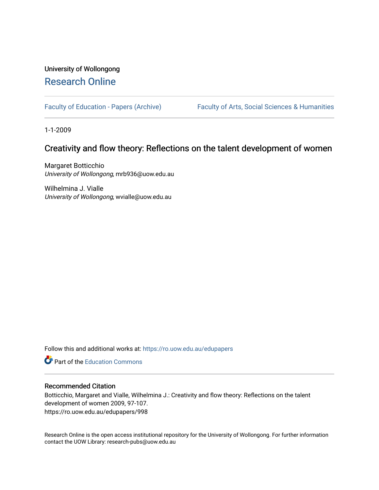# University of Wollongong [Research Online](https://ro.uow.edu.au/)

[Faculty of Education - Papers \(Archive\)](https://ro.uow.edu.au/edupapers) Faculty of Arts, Social Sciences & Humanities

1-1-2009

## Creativity and flow theory: Reflections on the talent development of women

Margaret Botticchio University of Wollongong, mrb936@uow.edu.au

Wilhelmina J. Vialle University of Wollongong, wvialle@uow.edu.au

Follow this and additional works at: [https://ro.uow.edu.au/edupapers](https://ro.uow.edu.au/edupapers?utm_source=ro.uow.edu.au%2Fedupapers%2F998&utm_medium=PDF&utm_campaign=PDFCoverPages) 

**C** Part of the [Education Commons](http://network.bepress.com/hgg/discipline/784?utm_source=ro.uow.edu.au%2Fedupapers%2F998&utm_medium=PDF&utm_campaign=PDFCoverPages)

## Recommended Citation

Botticchio, Margaret and Vialle, Wilhelmina J.: Creativity and flow theory: Reflections on the talent development of women 2009, 97-107. https://ro.uow.edu.au/edupapers/998

Research Online is the open access institutional repository for the University of Wollongong. For further information contact the UOW Library: research-pubs@uow.edu.au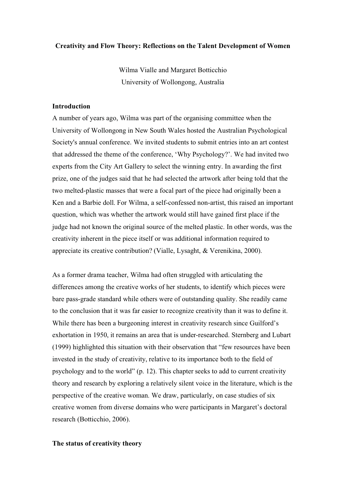#### **Creativity and Flow Theory: Reflections on the Talent Development of Women**

Wilma Vialle and Margaret Botticchio University of Wollongong, Australia

## **Introduction**

A number of years ago, Wilma was part of the organising committee when the University of Wollongong in New South Wales hosted the Australian Psychological Society's annual conference. We invited students to submit entries into an art contest that addressed the theme of the conference, 'Why Psychology?'. We had invited two experts from the City Art Gallery to select the winning entry. In awarding the first prize, one of the judges said that he had selected the artwork after being told that the two melted-plastic masses that were a focal part of the piece had originally been a Ken and a Barbie doll. For Wilma, a self-confessed non-artist, this raised an important question, which was whether the artwork would still have gained first place if the judge had not known the original source of the melted plastic. In other words, was the creativity inherent in the piece itself or was additional information required to appreciate its creative contribution? (Vialle, Lysaght, & Verenikina, 2000).

As a former drama teacher, Wilma had often struggled with articulating the differences among the creative works of her students, to identify which pieces were bare pass-grade standard while others were of outstanding quality. She readily came to the conclusion that it was far easier to recognize creativity than it was to define it. While there has been a burgeoning interest in creativity research since Guilford's exhortation in 1950, it remains an area that is under-researched. Sternberg and Lubart (1999) highlighted this situation with their observation that "few resources have been invested in the study of creativity, relative to its importance both to the field of psychology and to the world" (p. 12). This chapter seeks to add to current creativity theory and research by exploring a relatively silent voice in the literature, which is the perspective of the creative woman. We draw, particularly, on case studies of six creative women from diverse domains who were participants in Margaret's doctoral research (Botticchio, 2006).

## **The status of creativity theory**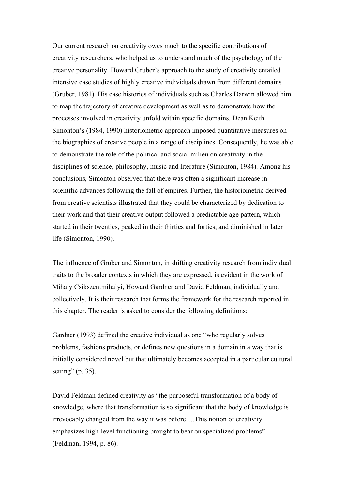Our current research on creativity owes much to the specific contributions of creativity researchers, who helped us to understand much of the psychology of the creative personality. Howard Gruber's approach to the study of creativity entailed intensive case studies of highly creative individuals drawn from different domains (Gruber, 1981). His case histories of individuals such as Charles Darwin allowed him to map the trajectory of creative development as well as to demonstrate how the processes involved in creativity unfold within specific domains. Dean Keith Simonton's (1984, 1990) historiometric approach imposed quantitative measures on the biographies of creative people in a range of disciplines. Consequently, he was able to demonstrate the role of the political and social milieu on creativity in the disciplines of science, philosophy, music and literature (Simonton, 1984). Among his conclusions, Simonton observed that there was often a significant increase in scientific advances following the fall of empires. Further, the historiometric derived from creative scientists illustrated that they could be characterized by dedication to their work and that their creative output followed a predictable age pattern, which started in their twenties, peaked in their thirties and forties, and diminished in later life (Simonton, 1990).

The influence of Gruber and Simonton, in shifting creativity research from individual traits to the broader contexts in which they are expressed, is evident in the work of Mihaly Csikszentmihalyi, Howard Gardner and David Feldman, individually and collectively. It is their research that forms the framework for the research reported in this chapter. The reader is asked to consider the following definitions:

Gardner (1993) defined the creative individual as one "who regularly solves problems, fashions products, or defines new questions in a domain in a way that is initially considered novel but that ultimately becomes accepted in a particular cultural setting" (p. 35).

David Feldman defined creativity as "the purposeful transformation of a body of knowledge, where that transformation is so significant that the body of knowledge is irrevocably changed from the way it was before….This notion of creativity emphasizes high-level functioning brought to bear on specialized problems" (Feldman, 1994, p. 86).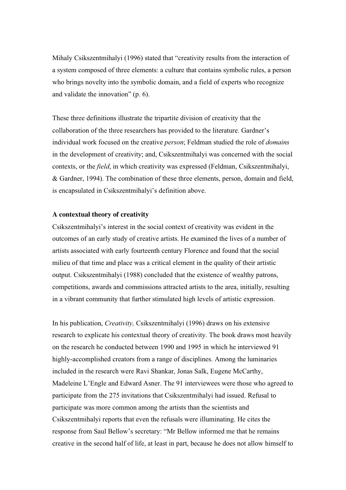Mihaly Csikszentmihalyi (1996) stated that "creativity results from the interaction of a system composed of three elements: a culture that contains symbolic rules, a person who brings novelty into the symbolic domain, and a field of experts who recognize and validate the innovation" (p. 6).

These three definitions illustrate the tripartite division of creativity that the collaboration of the three researchers has provided to the literature. Gardner's individual work focused on the creative *person*; Feldman studied the role of *domains* in the development of creativity; and, Csikszentmihalyi was concerned with the social contexts, or the *field*, in which creativity was expressed (Feldman, Csikszentmihalyi, & Gardner, 1994). The combination of these three elements, person, domain and field, is encapsulated in Csikszentmihalyi's definition above.

## **A contextual theory of creativity**

Csikszentmihalyi's interest in the social context of creativity was evident in the outcomes of an early study of creative artists. He examined the lives of a number of artists associated with early fourteenth century Florence and found that the social milieu of that time and place was a critical element in the quality of their artistic output. Csikszentmihalyi (1988) concluded that the existence of wealthy patrons, competitions, awards and commissions attracted artists to the area, initially, resulting in a vibrant community that further stimulated high levels of artistic expression.

In his publication, *Creativity,* Csikszentmihalyi (1996) draws on his extensive research to explicate his contextual theory of creativity. The book draws most heavily on the research he conducted between 1990 and 1995 in which he interviewed 91 highly-accomplished creators from a range of disciplines. Among the luminaries included in the research were Ravi Shankar, Jonas Salk, Eugene McCarthy, Madeleine L'Engle and Edward Asner. The 91 interviewees were those who agreed to participate from the 275 invitations that Csikszentmihalyi had issued. Refusal to participate was more common among the artists than the scientists and Csikszentmihalyi reports that even the refusals were illuminating. He cites the response from Saul Bellow's secretary: "Mr Bellow informed me that he remains creative in the second half of life, at least in part, because he does not allow himself to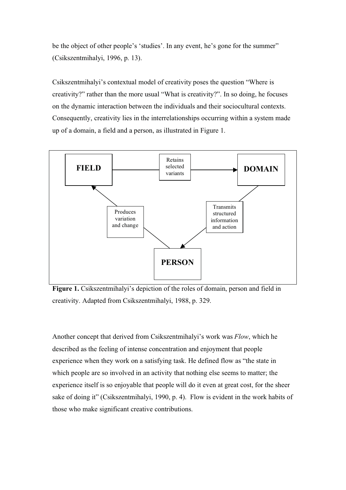be the object of other people's 'studies'. In any event, he's gone for the summer" (Csikszentmihalyi, 1996, p. 13).

Csikszentmihalyi's contextual model of creativity poses the question "Where is creativity?" rather than the more usual "What is creativity?". In so doing, he focuses on the dynamic interaction between the individuals and their sociocultural contexts. Consequently, creativity lies in the interrelationships occurring within a system made up of a domain, a field and a person, as illustrated in Figure 1.



**Figure 1.** Csikszentmihalyi's depiction of the roles of domain, person and field in creativity. Adapted from Csikszentmihalyi, 1988, p. 329.

Another concept that derived from Csikszentmihalyi's work was *Flow*, which he described as the feeling of intense concentration and enjoyment that people experience when they work on a satisfying task. He defined flow as "the state in which people are so involved in an activity that nothing else seems to matter; the experience itself is so enjoyable that people will do it even at great cost, for the sheer sake of doing it" (Csikszentmihalyi, 1990, p. 4). Flow is evident in the work habits of those who make significant creative contributions.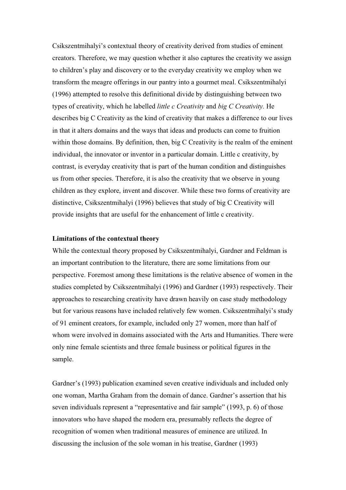Csikszentmihalyi's contextual theory of creativity derived from studies of eminent creators. Therefore, we may question whether it also captures the creativity we assign to children's play and discovery or to the everyday creativity we employ when we transform the meagre offerings in our pantry into a gourmet meal. Csikszentmihalyi (1996) attempted to resolve this definitional divide by distinguishing between two types of creativity, which he labelled *little c Creativity* and *big C Creativity.* He describes big C Creativity as the kind of creativity that makes a difference to our lives in that it alters domains and the ways that ideas and products can come to fruition within those domains. By definition, then, big C Creativity is the realm of the eminent individual, the innovator or inventor in a particular domain. Little c creativity, by contrast, is everyday creativity that is part of the human condition and distinguishes us from other species. Therefore, it is also the creativity that we observe in young children as they explore, invent and discover. While these two forms of creativity are distinctive, Csikszentmihalyi (1996) believes that study of big C Creativity will provide insights that are useful for the enhancement of little c creativity.

#### **Limitations of the contextual theory**

While the contextual theory proposed by Csikszentmihalyi, Gardner and Feldman is an important contribution to the literature, there are some limitations from our perspective. Foremost among these limitations is the relative absence of women in the studies completed by Csikszentmihalyi (1996) and Gardner (1993) respectively. Their approaches to researching creativity have drawn heavily on case study methodology but for various reasons have included relatively few women. Csikszentmihalyi's study of 91 eminent creators, for example, included only 27 women, more than half of whom were involved in domains associated with the Arts and Humanities. There were only nine female scientists and three female business or political figures in the sample.

Gardner's (1993) publication examined seven creative individuals and included only one woman, Martha Graham from the domain of dance. Gardner's assertion that his seven individuals represent a "representative and fair sample" (1993, p. 6) of those innovators who have shaped the modern era, presumably reflects the degree of recognition of women when traditional measures of eminence are utilized. In discussing the inclusion of the sole woman in his treatise, Gardner (1993)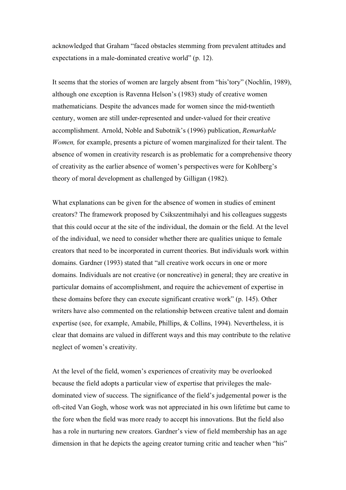acknowledged that Graham "faced obstacles stemming from prevalent attitudes and expectations in a male-dominated creative world" (p. 12).

It seems that the stories of women are largely absent from "his'tory" (Nochlin, 1989), although one exception is Ravenna Helson's (1983) study of creative women mathematicians. Despite the advances made for women since the mid-twentieth century, women are still under-represented and under-valued for their creative accomplishment. Arnold, Noble and Subotnik's (1996) publication, *Remarkable Women,* for example, presents a picture of women marginalized for their talent. The absence of women in creativity research is as problematic for a comprehensive theory of creativity as the earlier absence of women's perspectives were for Kohlberg's theory of moral development as challenged by Gilligan (1982).

What explanations can be given for the absence of women in studies of eminent creators? The framework proposed by Csikszentmihalyi and his colleagues suggests that this could occur at the site of the individual, the domain or the field. At the level of the individual, we need to consider whether there are qualities unique to female creators that need to be incorporated in current theories. But individuals work within domains. Gardner (1993) stated that "all creative work occurs in one or more domains. Individuals are not creative (or noncreative) in general; they are creative in particular domains of accomplishment, and require the achievement of expertise in these domains before they can execute significant creative work" (p. 145). Other writers have also commented on the relationship between creative talent and domain expertise (see, for example, Amabile, Phillips, & Collins, 1994). Nevertheless, it is clear that domains are valued in different ways and this may contribute to the relative neglect of women's creativity.

At the level of the field, women's experiences of creativity may be overlooked because the field adopts a particular view of expertise that privileges the maledominated view of success. The significance of the field's judgemental power is the oft-cited Van Gogh, whose work was not appreciated in his own lifetime but came to the fore when the field was more ready to accept his innovations. But the field also has a role in nurturing new creators. Gardner's view of field membership has an age dimension in that he depicts the ageing creator turning critic and teacher when "his"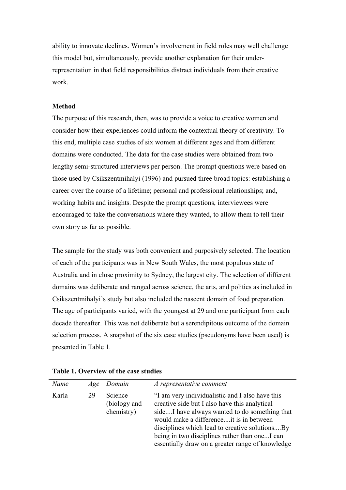ability to innovate declines. Women's involvement in field roles may well challenge this model but, simultaneously, provide another explanation for their underrepresentation in that field responsibilities distract individuals from their creative work.

## **Method**

The purpose of this research, then, was to provide a voice to creative women and consider how their experiences could inform the contextual theory of creativity. To this end, multiple case studies of six women at different ages and from different domains were conducted. The data for the case studies were obtained from two lengthy semi-structured interviews per person. The prompt questions were based on those used by Csikszentmihalyi (1996) and pursued three broad topics: establishing a career over the course of a lifetime; personal and professional relationships; and, working habits and insights. Despite the prompt questions, interviewees were encouraged to take the conversations where they wanted, to allow them to tell their own story as far as possible.

The sample for the study was both convenient and purposively selected. The location of each of the participants was in New South Wales, the most populous state of Australia and in close proximity to Sydney, the largest city. The selection of different domains was deliberate and ranged across science, the arts, and politics as included in Csikszentmihalyi's study but also included the nascent domain of food preparation. The age of participants varied, with the youngest at 29 and one participant from each decade thereafter. This was not deliberate but a serendipitous outcome of the domain selection process. A snapshot of the six case studies (pseudonyms have been used) is presented in Table 1.

| Name  |    | Age Domain                            | A representative comment                                                                                                                                                                                                                                                                                                                            |
|-------|----|---------------------------------------|-----------------------------------------------------------------------------------------------------------------------------------------------------------------------------------------------------------------------------------------------------------------------------------------------------------------------------------------------------|
| Karla | 29 | Science<br>(biology and<br>chemistry) | "I am very individualistic and I also have this<br>creative side but I also have this analytical<br>sideI have always wanted to do something that<br>would make a differenceit is in between<br>disciplines which lead to creative solutionsBy<br>being in two disciplines rather than oneI can<br>essentially draw on a greater range of knowledge |

| Table 1. Overview of the case studies |  |  |  |
|---------------------------------------|--|--|--|
|---------------------------------------|--|--|--|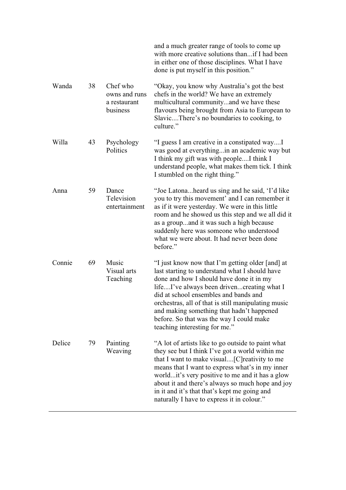|        |    |                                                       | and a much greater range of tools to come up<br>with more creative solutions than if I had been<br>in either one of those disciplines. What I have<br>done is put myself in this position."                                                                                                                                                                                                                            |
|--------|----|-------------------------------------------------------|------------------------------------------------------------------------------------------------------------------------------------------------------------------------------------------------------------------------------------------------------------------------------------------------------------------------------------------------------------------------------------------------------------------------|
| Wanda  | 38 | Chef who<br>owns and runs<br>a restaurant<br>business | "Okay, you know why Australia's got the best<br>chefs in the world? We have an extremely<br>multicultural communityand we have these<br>flavours being brought from Asia to European to<br>SlavicThere's no boundaries to cooking, to<br>culture."                                                                                                                                                                     |
| Willa  | 43 | Psychology<br>Politics                                | "I guess I am creative in a constipated wayI<br>was good at everythingin an academic way but<br>I think my gift was with peopleI think I<br>understand people, what makes them tick. I think<br>I stumbled on the right thing."                                                                                                                                                                                        |
| Anna   | 59 | Dance<br>Television<br>entertainment                  | "Joe Latonaheard us sing and he said, 'I'd like"<br>you to try this movement' and I can remember it<br>as if it were yesterday. We were in this little<br>room and he showed us this step and we all did it<br>as a groupand it was such a high because<br>suddenly here was someone who understood<br>what we were about. It had never been done<br>before."                                                          |
| Connie | 69 | Music<br>Visual arts<br>Teaching                      | "I just know now that I'm getting older [and] at<br>last starting to understand what I should have<br>done and how I should have done it in my<br>lifeI've always been drivencreating what I<br>did at school ensembles and bands and<br>orchestras, all of that is still manipulating music<br>and making something that hadn't happened<br>before. So that was the way I could make<br>teaching interesting for me." |
| Delice | 79 | Painting<br>Weaving                                   | "A lot of artists like to go outside to paint what<br>they see but I think I've got a world within me<br>that I want to make visual[C] reativity to me<br>means that I want to express what's in my inner<br>worldit's very positive to me and it has a glow<br>about it and there's always so much hope and joy<br>in it and it's that that's kept me going and<br>naturally I have to express it in colour."         |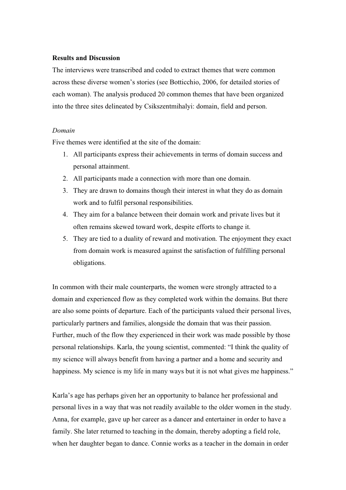## **Results and Discussion**

The interviews were transcribed and coded to extract themes that were common across these diverse women's stories (see Botticchio, 2006, for detailed stories of each woman). The analysis produced 20 common themes that have been organized into the three sites delineated by Csikszentmihalyi: domain, field and person.

#### *Domain*

Five themes were identified at the site of the domain:

- 1. All participants express their achievements in terms of domain success and personal attainment.
- 2. All participants made a connection with more than one domain.
- 3. They are drawn to domains though their interest in what they do as domain work and to fulfil personal responsibilities.
- 4. They aim for a balance between their domain work and private lives but it often remains skewed toward work, despite efforts to change it.
- 5. They are tied to a duality of reward and motivation. The enjoyment they exact from domain work is measured against the satisfaction of fulfilling personal obligations.

In common with their male counterparts, the women were strongly attracted to a domain and experienced flow as they completed work within the domains. But there are also some points of departure. Each of the participants valued their personal lives, particularly partners and families, alongside the domain that was their passion. Further, much of the flow they experienced in their work was made possible by those personal relationships. Karla, the young scientist, commented: "I think the quality of my science will always benefit from having a partner and a home and security and happiness. My science is my life in many ways but it is not what gives me happiness."

Karla's age has perhaps given her an opportunity to balance her professional and personal lives in a way that was not readily available to the older women in the study. Anna, for example, gave up her career as a dancer and entertainer in order to have a family. She later returned to teaching in the domain, thereby adopting a field role, when her daughter began to dance. Connie works as a teacher in the domain in order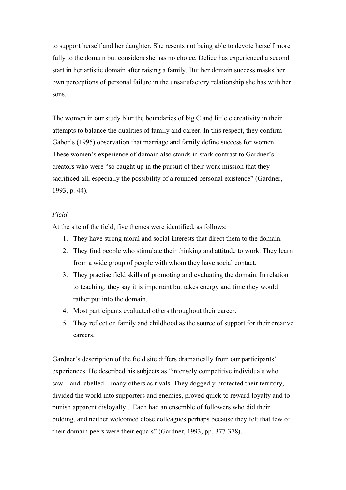to support herself and her daughter. She resents not being able to devote herself more fully to the domain but considers she has no choice. Delice has experienced a second start in her artistic domain after raising a family. But her domain success masks her own perceptions of personal failure in the unsatisfactory relationship she has with her sons.

The women in our study blur the boundaries of big C and little c creativity in their attempts to balance the dualities of family and career. In this respect, they confirm Gabor's (1995) observation that marriage and family define success for women. These women's experience of domain also stands in stark contrast to Gardner's creators who were "so caught up in the pursuit of their work mission that they sacrificed all, especially the possibility of a rounded personal existence" (Gardner, 1993, p. 44).

## *Field*

At the site of the field, five themes were identified, as follows:

- 1. They have strong moral and social interests that direct them to the domain.
- 2. They find people who stimulate their thinking and attitude to work. They learn from a wide group of people with whom they have social contact.
- 3. They practise field skills of promoting and evaluating the domain. In relation to teaching, they say it is important but takes energy and time they would rather put into the domain.
- 4. Most participants evaluated others throughout their career.
- 5. They reflect on family and childhood as the source of support for their creative careers.

Gardner's description of the field site differs dramatically from our participants' experiences. He described his subjects as "intensely competitive individuals who saw—and labelled—many others as rivals. They doggedly protected their territory, divided the world into supporters and enemies, proved quick to reward loyalty and to punish apparent disloyalty....Each had an ensemble of followers who did their bidding, and neither welcomed close colleagues perhaps because they felt that few of their domain peers were their equals" (Gardner, 1993, pp. 377-378).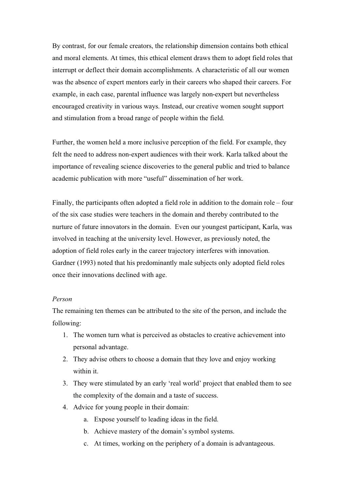By contrast, for our female creators, the relationship dimension contains both ethical and moral elements. At times, this ethical element draws them to adopt field roles that interrupt or deflect their domain accomplishments. A characteristic of all our women was the absence of expert mentors early in their careers who shaped their careers. For example, in each case, parental influence was largely non-expert but nevertheless encouraged creativity in various ways. Instead, our creative women sought support and stimulation from a broad range of people within the field.

Further, the women held a more inclusive perception of the field. For example, they felt the need to address non-expert audiences with their work. Karla talked about the importance of revealing science discoveries to the general public and tried to balance academic publication with more "useful" dissemination of her work.

Finally, the participants often adopted a field role in addition to the domain role – four of the six case studies were teachers in the domain and thereby contributed to the nurture of future innovators in the domain. Even our youngest participant, Karla, was involved in teaching at the university level. However, as previously noted, the adoption of field roles early in the career trajectory interferes with innovation. Gardner (1993) noted that his predominantly male subjects only adopted field roles once their innovations declined with age.

## *Person*

The remaining ten themes can be attributed to the site of the person, and include the following:

- 1. The women turn what is perceived as obstacles to creative achievement into personal advantage.
- 2. They advise others to choose a domain that they love and enjoy working within it.
- 3. They were stimulated by an early 'real world' project that enabled them to see the complexity of the domain and a taste of success.
- 4. Advice for young people in their domain:
	- a. Expose yourself to leading ideas in the field.
	- b. Achieve mastery of the domain's symbol systems.
	- c. At times, working on the periphery of a domain is advantageous.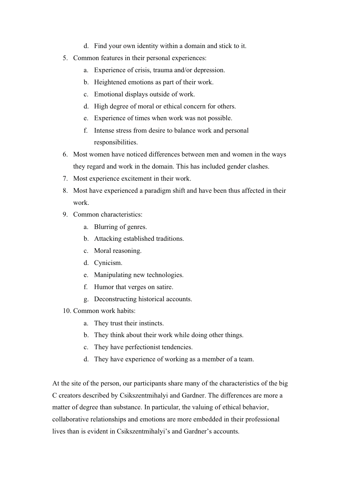- d. Find your own identity within a domain and stick to it.
- 5. Common features in their personal experiences:
	- a. Experience of crisis, trauma and/or depression.
	- b. Heightened emotions as part of their work.
	- c. Emotional displays outside of work.
	- d. High degree of moral or ethical concern for others.
	- e. Experience of times when work was not possible.
	- f. Intense stress from desire to balance work and personal responsibilities.
- 6. Most women have noticed differences between men and women in the ways they regard and work in the domain. This has included gender clashes.
- 7. Most experience excitement in their work.
- 8. Most have experienced a paradigm shift and have been thus affected in their work.
- 9. Common characteristics:
	- a. Blurring of genres.
	- b. Attacking established traditions.
	- c. Moral reasoning.
	- d. Cynicism.
	- e. Manipulating new technologies.
	- f. Humor that verges on satire.
	- g. Deconstructing historical accounts.
- 10. Common work habits:
	- a. They trust their instincts.
	- b. They think about their work while doing other things.
	- c. They have perfectionist tendencies.
	- d. They have experience of working as a member of a team.

At the site of the person, our participants share many of the characteristics of the big C creators described by Csikszentmihalyi and Gardner. The differences are more a matter of degree than substance. In particular, the valuing of ethical behavior, collaborative relationships and emotions are more embedded in their professional lives than is evident in Csikszentmihalyi's and Gardner's accounts.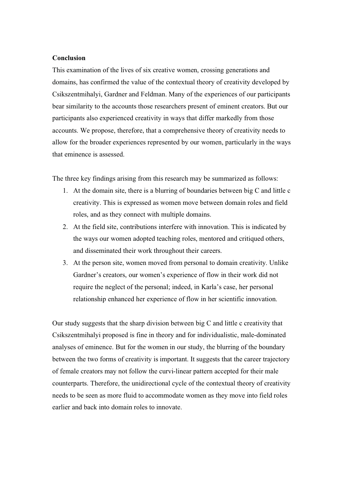## **Conclusion**

This examination of the lives of six creative women, crossing generations and domains, has confirmed the value of the contextual theory of creativity developed by Csikszentmihalyi, Gardner and Feldman. Many of the experiences of our participants bear similarity to the accounts those researchers present of eminent creators. But our participants also experienced creativity in ways that differ markedly from those accounts. We propose, therefore, that a comprehensive theory of creativity needs to allow for the broader experiences represented by our women, particularly in the ways that eminence is assessed.

The three key findings arising from this research may be summarized as follows:

- 1. At the domain site, there is a blurring of boundaries between big C and little c creativity. This is expressed as women move between domain roles and field roles, and as they connect with multiple domains.
- 2. At the field site, contributions interfere with innovation. This is indicated by the ways our women adopted teaching roles, mentored and critiqued others, and disseminated their work throughout their careers.
- 3. At the person site, women moved from personal to domain creativity. Unlike Gardner's creators, our women's experience of flow in their work did not require the neglect of the personal; indeed, in Karla's case, her personal relationship enhanced her experience of flow in her scientific innovation.

Our study suggests that the sharp division between big C and little c creativity that Csikszentmihalyi proposed is fine in theory and for individualistic, male-dominated analyses of eminence. But for the women in our study, the blurring of the boundary between the two forms of creativity is important. It suggests that the career trajectory of female creators may not follow the curvi-linear pattern accepted for their male counterparts. Therefore, the unidirectional cycle of the contextual theory of creativity needs to be seen as more fluid to accommodate women as they move into field roles earlier and back into domain roles to innovate.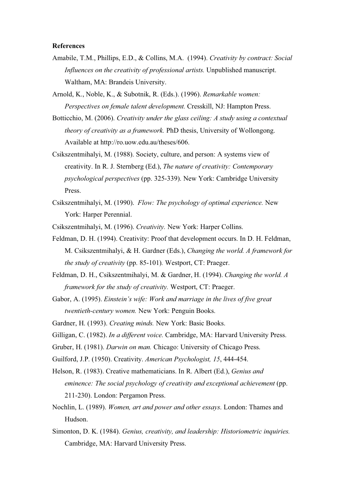### **References**

- Amabile, T.M., Phillips, E.D., & Collins, M.A. (1994). *Creativity by contract: Social Influences on the creativity of professional artists.* Unpublished manuscript. Waltham, MA: Brandeis University.
- Arnold, K., Noble, K., & Subotnik, R. (Eds.). (1996). *Remarkable women: Perspectives on female talent development.* Cresskill, NJ: Hampton Press.
- Botticchio, M. (2006). *Creativity under the glass ceiling: A study using a contextual theory of creativity as a framework.* PhD thesis, University of Wollongong. Available at http://ro.uow.edu.au/theses/606.
- Csikszentmihalyi, M. (1988). Society, culture, and person: A systems view of creativity. In R. J. Sternberg (Ed.), *The nature of creativity: Contemporary psychological perspectives* (pp. 325-339). New York: Cambridge University Press.
- Csikszentmihalyi, M. (1990). *Flow: The psychology of optimal experience.* New York: Harper Perennial.
- Csikszentmihalyi, M. (1996). *Creativity.* New York: Harper Collins.
- Feldman, D. H. (1994). Creativity: Proof that development occurs. In D. H. Feldman, M. Csikszentmihalyi, & H. Gardner (Eds.), *Changing the world. A framework for the study of creativity* (pp. 85-101)*.* Westport, CT: Praeger.
- Feldman, D. H., Csikszentmihalyi, M. & Gardner, H. (1994). *Changing the world. A framework for the study of creativity.* Westport, CT: Praeger.
- Gabor, A. (1995). *Einstein's wife: Work and marriage in the lives of five great twentieth-century women.* New York: Penguin Books.
- Gardner, H. (1993). *Creating minds.* New York: Basic Books.
- Gilligan, C. (1982). *In a different voice.* Cambridge, MA: Harvard University Press.
- Gruber, H. (1981). *Darwin on man.* Chicago: University of Chicago Press.
- Guilford, J.P. (1950). Creativity. *American Psychologist, 15*, 444-454.
- Helson, R. (1983). Creative mathematicians. In R. Albert (Ed.), *Genius and eminence: The social psychology of creativity and exceptional achievement* (pp. 211-230). London: Pergamon Press.
- Nochlin, L. (1989). *Women, art and power and other essays*. London: Thames and Hudson.
- Simonton, D. K. (1984). *Genius, creativity, and leadership: Historiometric inquiries.* Cambridge, MA: Harvard University Press.